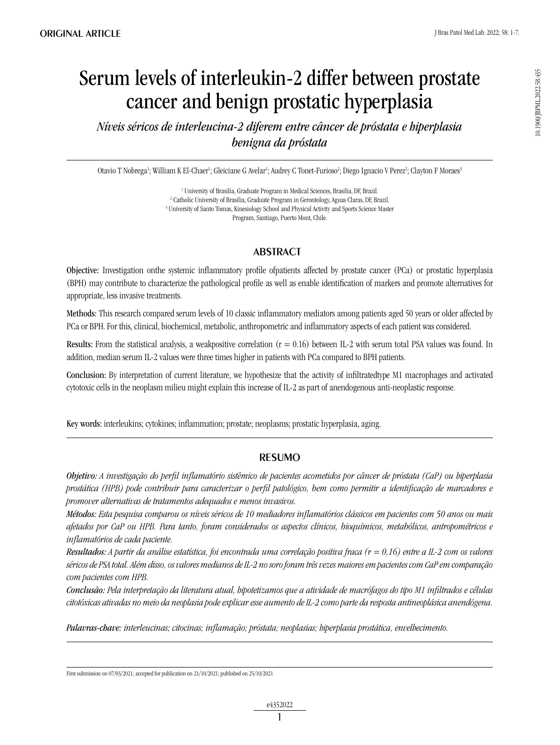0.1900/JBPML2022.58.435 10.1900/JBPML.2022.58.435

# Serum levels of interleukin-2 differ between prostate cancer and benign prostatic hyperplasia

*Níveis séricos de interleucina-2 diferem entre câncer de próstata e hiperplasia benigna da próstata*

Otavio T Nobrega<sup>1</sup>; William K El-Chaer<sup>1</sup>; Gleiciane G Avelar<sup>1</sup>; Audrey C Tonet-Furioso<sup>2</sup>; Diego Ignacio V Perez<sup>2</sup>; Clayton F Moraes<sup>3</sup>

<sup>1</sup> University of Brasilia, Graduate Program in Medical Sciences, Brasilia, DF, Brazil. 2 Catholic University of Brasilia, Graduate Program in Gerontology, Aguas Claras, DF, Brazil. <sup>3</sup> University of Santo Tomas, Kinesiology School and Physical Activity and Sports Science Master Program, Santiago, Puerto Mont, Chile.

# **ABSTRACT**

Objective: Investigation onthe systemic inflammatory profile ofpatients affected by prostate cancer (PCa) or prostatic hyperplasia (BPH) may contribute to characterize the pathological profile as well as enable identification of markers and promote alternatives for appropriate, less invasive treatments.

Methods: This research compared serum levels of 10 classic inflammatory mediators among patients aged 50 years or older affected by PCa or BPH. For this, clinical, biochemical, metabolic, anthropometric and inflammatory aspects of each patient was considered.

Results: From the statistical analysis, a weakpositive correlation  $(r = 0.16)$  between IL-2 with serum total PSA values was found. In addition, median serum IL-2 values were three times higher in patients with PCa compared to BPH patients.

Conclusion: By interpretation of current literature, we hypothesize that the activity of infiltratedtype M1 macrophages and activated cytotoxic cells in the neoplasm milieu might explain this increase of IL-2 as part of anendogenous anti-neoplastic response.

Key words: interleukins; cytokines; inflammation; prostate; neoplasms; prostatic hyperplasia, aging.

# resumo

*Objetivo: A investigação do perfil inflamatório sistêmico de pacientes acometidos por câncer de próstata (CaP) ou hiperplasia prostática (HPB) pode contribuir para caracterizar o perfil patológico, bem como permitir a identificação de marcadores e promover alternativas de tratamentos adequados e menos invasivos.* 

*Métodos: Esta pesquisa comparou os níveis séricos de 10 mediadores inflamatórios clássicos em pacientes com 50 anos ou mais afetados por CaP ou HPB. Para tanto, foram considerados os aspectos clínicos, bioquímicos, metabólicos, antropométricos e inflamatórios de cada paciente.*

*Resultados: A partir da análise estatística, foi encontrada uma correlação positiva fraca (r = 0,16) entre a IL-2 com os valores séricos de PSA total. Além disso, os valores medianos de IL-2 no soro foram três vezes maiores em pacientes com CaP em comparação com pacientes com HPB.*

*Conclusão: Pela interpretação da literatura atual, hipotetizamos que a atividade de macrófagos do tipo M1 infiltrados e células citotóxicas ativadas no meio da neoplasia pode explicar esse aumento de IL-2 como parte da resposta antineoplásica anendógena.*

*Palavras-chave: interleucinas; citocinas; inflamação; próstata; neoplasias; hiperplasia prostática, envelhecimento.*

First submission on 07/03/2021; accepted for publication on 21/10/2021; published on 25/10/2021

1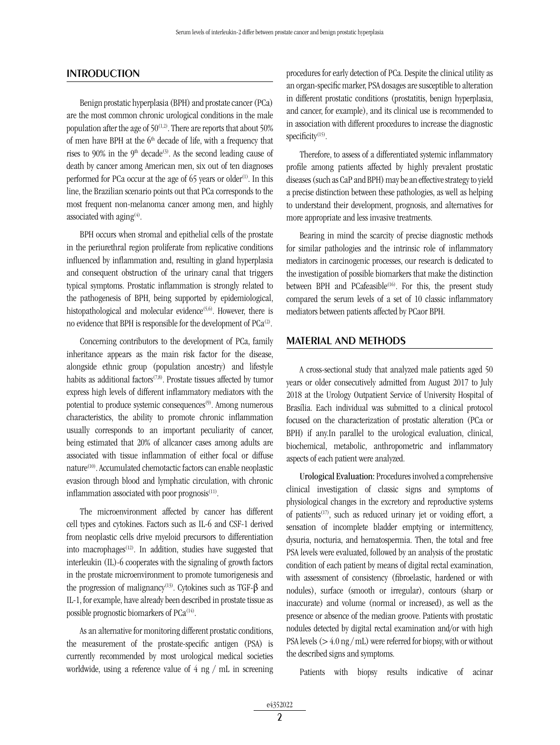### **INTRODUCTION**

Benign prostatic hyperplasia (BPH) and prostate cancer (PCa) are the most common chronic urological conditions in the male population after the age of  $50^{(1,2)}$ . There are reports that about 50% of men have BPH at the  $6<sup>th</sup>$  decade of life, with a frequency that rises to 90% in the 9<sup>th</sup> decade<sup>(3)</sup>. As the second leading cause of death by cancer among American men, six out of ten diagnoses performed for PCa occur at the age of 65 years or older<sup>(1)</sup>. In this line, the Brazilian scenario points out that PCa corresponds to the most frequent non-melanoma cancer among men, and highly associated with aging<sup>(4)</sup>.

BPH occurs when stromal and epithelial cells of the prostate in the periurethral region proliferate from replicative conditions influenced by inflammation and, resulting in gland hyperplasia and consequent obstruction of the urinary canal that triggers typical symptoms. Prostatic inflammation is strongly related to the pathogenesis of BPH, being supported by epidemiological, histopathological and molecular evidence<sup>(5,6)</sup>. However, there is no evidence that BPH is responsible for the development of PCa<sup>(2)</sup>.

Concerning contributors to the development of PCa, family inheritance appears as the main risk factor for the disease, alongside ethnic group (population ancestry) and lifestyle habits as additional factors<sup>(7,8)</sup>. Prostate tissues affected by tumor express high levels of different inflammatory mediators with the potential to produce systemic consequences<sup>(9)</sup>. Among numerous characteristics, the ability to promote chronic inflammation usually corresponds to an important peculiarity of cancer, being estimated that 20% of allcancer cases among adults are associated with tissue inflammation of either focal or diffuse nature<sup>(10)</sup>. Accumulated chemotactic factors can enable neoplastic evasion through blood and lymphatic circulation, with chronic inflammation associated with poor prognosis $(11)$ .

The microenvironment affected by cancer has different cell types and cytokines. Factors such as IL-6 and CSF-1 derived from neoplastic cells drive myeloid precursors to differentiation into macrophages<sup>(12)</sup>. In addition, studies have suggested that interleukin (IL)-6 cooperates with the signaling of growth factors in the prostate microenvironment to promote tumorigenesis and the progression of malignancy<sup>(13)</sup>. Cytokines such as TGF-β and IL-1, for example, have already been described in prostate tissue as possible prognostic biomarkers of PCa<sup>(14)</sup>.

As an alternative for monitoring different prostatic conditions, the measurement of the prostate-specific antigen (PSA) is currently recommended by most urological medical societies worldwide, using a reference value of 4 ng / mL in screening procedures for early detection of PCa. Despite the clinical utility as an organ-specific marker, PSA dosages are susceptible to alteration in different prostatic conditions (prostatitis, benign hyperplasia, and cancer, for example), and its clinical use is recommended to in association with different procedures to increase the diagnostic specificity<sup>(15)</sup>.

Therefore, to assess of a differentiated systemic inflammatory profile among patients affected by highly prevalent prostatic diseases (such as CaP and BPH) may be an effective strategy to yield a precise distinction between these pathologies, as well as helping to understand their development, prognosis, and alternatives for more appropriate and less invasive treatments.

Bearing in mind the scarcity of precise diagnostic methods for similar pathologies and the intrinsic role of inflammatory mediators in carcinogenic processes, our research is dedicated to the investigation of possible biomarkers that make the distinction between BPH and PCafeasible<sup>(16)</sup>. For this, the present study compared the serum levels of a set of 10 classic inflammatory mediators between patients affected by PCaor BPH.

#### MATERIAL AND METHODS

A cross-sectional study that analyzed male patients aged 50 years or older consecutively admitted from August 2017 to July 2018 at the Urology Outpatient Service of University Hospital of Brasília. Each individual was submitted to a clinical protocol focused on the characterization of prostatic alteration (PCa or BPH) if any.In parallel to the urological evaluation, clinical, biochemical, metabolic, anthropometric and inflammatory aspects of each patient were analyzed.

Urological Evaluation: Procedures involved a comprehensive clinical investigation of classic signs and symptoms of physiological changes in the excretory and reproductive systems of patients(17), such as reduced urinary jet or voiding effort, a sensation of incomplete bladder emptying or intermittency, dysuria, nocturia, and hematospermia. Then, the total and free PSA levels were evaluated, followed by an analysis of the prostatic condition of each patient by means of digital rectal examination, with assessment of consistency (fibroelastic, hardened or with nodules), surface (smooth or irregular), contours (sharp or inaccurate) and volume (normal or increased), as well as the presence or absence of the median groove. Patients with prostatic nodules detected by digital rectal examination and/or with high PSA levels ( $>$  4.0 ng/mL) were referred for biopsy, with or without the described signs and symptoms.

Patients with biopsy results indicative of acinar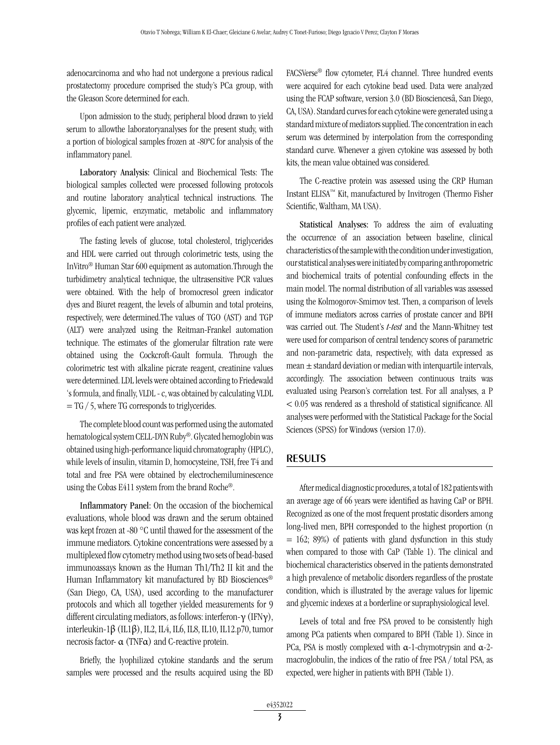adenocarcinoma and who had not undergone a previous radical prostatectomy procedure comprised the study's PCa group, with the Gleason Score determined for each.

Upon admission to the study, peripheral blood drawn to yield serum to allowthe laboratoryanalyses for the present study, with a portion of biological samples frozen at -80ºC for analysis of the inflammatory panel.

Laboratory Analysis: Clinical and Biochemical Tests: The biological samples collected were processed following protocols and routine laboratory analytical technical instructions. The glycemic, lipemic, enzymatic, metabolic and inflammatory profiles of each patient were analyzed.

The fasting levels of glucose, total cholesterol, triglycerides and HDL were carried out through colorimetric tests, using the InVitro® Human Star 600 equipment as automation.Through the turbidimetry analytical technique, the ultrasensitive PCR values were obtained. With the help of bromocresol green indicator dyes and Biuret reagent, the levels of albumin and total proteins, respectively, were determined.The values of TGO (AST) and TGP (ALT) were analyzed using the Reitman-Frankel automation technique. The estimates of the glomerular filtration rate were obtained using the Cockcroft-Gault formula. Through the colorimetric test with alkaline picrate reagent, creatinine values were determined. LDL levels were obtained according to Friedewald 's formula, and finally, VLDL - c, was obtained by calculating VLDL  $=$  TG  $/$  5, where TG corresponds to triglycerides.

The complete blood count was performed using the automated hematological system CELL-DYN Ruby®. Glycated hemoglobin was obtained using high-performance liquid chromatography (HPLC), while levels of insulin, vitamin D, homocysteine, TSH, free T4 and total and free PSA were obtained by electrochemiluminescence using the Cobas E411 system from the brand Roche®.

Inflammatory Panel: On the occasion of the biochemical evaluations, whole blood was drawn and the serum obtained was kept frozen at -80 °C until thawed for the assessment of the immune mediators. Cytokine concentrations were assessed by a multiplexed flow cytometry method using two sets of bead-based immunoassays known as the Human Th1/Th2 II kit and the Human Inflammatory kit manufactured by BD Biosciences<sup>®</sup> (San Diego, CA, USA), used according to the manufacturer protocols and which all together yielded measurements for 9 different circulating mediators, as follows: interferon-γ (IFNγ), interleukin-1β (IL1β), IL2, IL4, IL6, IL8, IL10, IL12.p70, tumor necrosis factor- α (TNFα) and C-reactive protein.

Briefly, the lyophilized cytokine standards and the serum samples were processed and the results acquired using the BD

FACSVerse® flow cytometer, FL4 channel. Three hundred events were acquired for each cytokine bead used. Data were analyzed using the FCAP software, version 3.0 (BD Biosciencesâ, San Diego, CA, USA). Standard curves for each cytokine were generated using a standard mixture of mediators supplied. The concentration in each serum was determined by interpolation from the corresponding standard curve. Whenever a given cytokine was assessed by both kits, the mean value obtained was considered.

The C-reactive protein was assessed using the CRP Human Instant ELISA™ Kit, manufactured by Invitrogen (Thermo Fisher Scientific, Waltham, MA USA).

Statistical Analyses: To address the aim of evaluating the occurrence of an association between baseline, clinical characteristics of the sample with the condition under investigation, our statistical analyses were initiated by comparing anthropometric and biochemical traits of potential confounding effects in the main model. The normal distribution of all variables was assessed using the Kolmogorov-Smirnov test. Then, a comparison of levels of immune mediators across carries of prostate cancer and BPH was carried out. The Student's *t-test* and the Mann-Whitney test were used for comparison of central tendency scores of parametric and non-parametric data, respectively, with data expressed as mean  $\pm$  standard deviation or median with interquartile intervals, accordingly. The association between continuous traits was evaluated using Pearson's correlation test. For all analyses, a P < 0.05 was rendered as a threshold of statistical significance. All analyses were performed with the Statistical Package for the Social Sciences (SPSS) for Windows (version 17.0).

## RESULTS

After medical diagnostic procedures, a total of 182 patients with an average age of 66 years were identified as having CaP or BPH. Recognized as one of the most frequent prostatic disorders among long-lived men, BPH corresponded to the highest proportion (n  $= 162$ ; 89%) of patients with gland dysfunction in this study when compared to those with CaP (Table 1). The clinical and biochemical characteristics observed in the patients demonstrated a high prevalence of metabolic disorders regardless of the prostate condition, which is illustrated by the average values for lipemic and glycemic indexes at a borderline or supraphysiological level.

Levels of total and free PSA proved to be consistently high among PCa patients when compared to BPH (Table 1). Since in PCa, PSA is mostly complexed with α-1-chymotrypsin and α-2 macroglobulin, the indices of the ratio of free PSA / total PSA, as expected, were higher in patients with BPH (Table 1).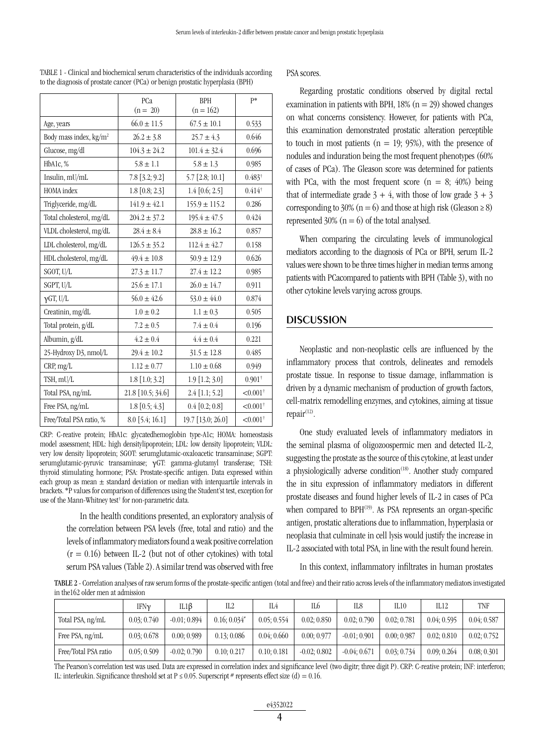|                                    | PCa               | <b>BPH</b>        | p*                     |
|------------------------------------|-------------------|-------------------|------------------------|
|                                    | $(n = 20)$        | $(n = 162)$       |                        |
| Age, years                         | $66.0 \pm 11.5$   | $67.5 \pm 10.1$   | 0.533                  |
| Body mass index, kg/m <sup>2</sup> | $26.2 \pm 3.8$    | $25.7 \pm 4.3$    | 0.646                  |
| Glucose, mg/dl                     | $104.3 \pm 24.2$  | $101.4 \pm 32.4$  | 0.696                  |
| HbA1c, %                           | $5.8 \pm 1.1$     | $5.8 \pm 1.3$     | 0.985                  |
| Insulin, mU/mL                     | 7.8 [3.2; 9.2]    | 5.7 [2.8; 10.1]   | $0.483^{+}$            |
| HOMA index                         | $1.8$ [0.8; 2.3]  | $1.4$ [0.6; 2.5]  | $0.414^{+}$            |
| Triglyceride, mg/dL                | $141.9 \pm 42.1$  | $155.9 \pm 115.2$ | 0.286                  |
| Total cholesterol, mg/dL           | $204.2 \pm 37.2$  | $195.4 \pm 47.5$  | 0.424                  |
| VLDL cholesterol, mg/dL            | $28.4 \pm 8.4$    | $28.8 \pm 16.2$   | 0.857                  |
| LDL cholesterol, mg/dL             | $126.5 \pm 35.2$  | $112.4 \pm 42.7$  | 0.158                  |
| HDL cholesterol, mg/dL             | $49.4 \pm 10.8$   | $50.9 \pm 12.9$   | 0.626                  |
| SGOT, U/L                          | $27.3 \pm 11.7$   | $27.4 \pm 12.2$   | 0.985                  |
| SGPT, U/L                          | $25.6 \pm 17.1$   | $26.0 \pm 14.7$   | 0.911                  |
| $\gamma$ GT, U/L                   | $56.0 \pm 42.6$   | $53.0 \pm 44.0$   | 0.874                  |
| Creatinin, mg/dL                   | $1.0 \pm 0.2$     | $1.1 \pm 0.3$     | 0.505                  |
| Total protein, g/dL                | $7.2 \pm 0.5$     | $7.4 \pm 0.4$     | 0.196                  |
| Albumin, g/dL                      | $4.2 \pm 0.4$     | $4.4 \pm 0.4$     | 0.221                  |
| 25-Hydroxy D3, nmol/L              | $29.4 \pm 10.2$   | $31.5 \pm 12.8$   | 0.485                  |
| CRP, mg/L                          | $1.12 \pm 0.77$   | $1.10 \pm 0.68$   | 0.949                  |
| TSH, mU/L                          | 1.8 [1.0; 3.2]    | 1.9 [1.2; 3.0]    | $0.901^{+}$            |
| Total PSA, ng/mL                   | 21.8 [10.5; 34.6] | $2.4$ [1.1; 5.2]  | $< 0.001$ <sup>†</sup> |
| Free PSA, ng/mL                    | $1.8$ [0.5; 4.3]  | $0.4$ [0.2; 0.8]  | $< 0.001$ <sup>+</sup> |
| Free/Total PSA ratio, %            | 8.0 [5.4; 16.1]   | 19.7 [13.0; 26.0] | $< 0.001$ <sup>+</sup> |

TABLE 1 - Clinical and biochemical serum characteristics of the individuals according to the diagnosis of prostate cancer (PCa) or benign prostatic hyperplasia (BPH)

CRP: C-reative protein; HbA1c: glycatedhemoglobin type-A1c; HOMA: homeostasis model assessment; HDL: high densitylipoprotein; LDL: low density lipoprotein; VLDL: very low density lipoprotein; SGOT: serumglutamic-oxaloacetic transaminase; SGPT: serumglutamic-pyruvic transaminase; γGT: gamma-glutamyl transferase; TSH: thyroid stimulating hormone; PSA: Prostate-specific antigen. Data expressed within each group as mean  $\pm$  standard deviation or median with interquartile intervals in brackets. \*P values for comparison of differences using the Student'st test, exception for use of the Mann-Whitney test<sup>†</sup> for non-parametric data.

> In the health conditions presented, an exploratory analysis of the correlation between PSA levels (free, total and ratio) and the levels of inflammatory mediators found a weak positive correlation  $(r = 0.16)$  between IL-2 (but not of other cytokines) with total serum PSA values (Table 2). A similar trend was observed with free

PSA scores.

Regarding prostatic conditions observed by digital rectal examination in patients with BPH,  $18\%$  (n = 29) showed changes on what concerns consistency. However, for patients with PCa, this examination demonstrated prostatic alteration perceptible to touch in most patients ( $n = 19$ ; 95%), with the presence of nodules and induration being the most frequent phenotypes (60% of cases of PCa). The Gleason score was determined for patients with PCa, with the most frequent score  $(n = 8; 40%)$  being that of intermediate grade  $3 + 4$ , with those of low grade  $3 + 3$ corresponding to 30% (n = 6) and those at high risk (Gleason  $\geq$  8) represented  $30\%$  (n = 6) of the total analysed.

When comparing the circulating levels of immunological mediators according to the diagnosis of PCa or BPH, serum IL-2 values were shown to be three times higher in median terms among patients with PCacompared to patients with BPH (Table 3), with no other cytokine levels varying across groups.

## **DISCUSSION**

Neoplastic and non-neoplastic cells are influenced by the inflammatory process that controls, delineates and remodels prostate tissue. In response to tissue damage, inflammation is driven by a dynamic mechanism of production of growth factors, cell-matrix remodelling enzymes, and cytokines, aiming at tissue repair $(12)$ .

One study evaluated levels of inflammatory mediators in the seminal plasma of oligozoospermic men and detected IL-2, suggesting the prostate as the source of this cytokine, at least under a physiologically adverse condition<sup>(18)</sup>. Another study compared the in situ expression of inflammatory mediators in different prostate diseases and found higher levels of IL-2 in cases of PCa when compared to BPH<sup>(19)</sup>. As PSA represents an organ-specific antigen, prostatic alterations due to inflammation, hyperplasia or neoplasia that culminate in cell lysis would justify the increase in IL-2 associated with total PSA, in line with the result found herein.

In this context, inflammatory infiltrates in human prostates

TABLE 2 - Correlation analyses of raw serum forms of the prostate-specific antigen (total and free) and their ratio across levels of the inflammatory mediators investigated in the162 older men at admission

|                      | IFNν        | IL1β           | IL2           | IL4         | IL6            | IL8            | IL10        | IL12        | TNF         |
|----------------------|-------------|----------------|---------------|-------------|----------------|----------------|-------------|-------------|-------------|
| Total PSA, ng/mL     | 0.03; 0.740 | $-0.01; 0.894$ | $0.16:0.034*$ | 0.05; 0.554 | 0.02; 0.850    | 0.02:0.790     | 0.02; 0.781 | 0.04; 0.595 | 0.04; 0.587 |
| Free PSA, ng/mL      | 0.03; 0.678 | 0.00; 0.989    | 0.13; 0.086   | 0.04:0.660  | 0.00; 0.977    | $-0.01; 0.901$ | 0.00:0.987  | 0.02:0.810  | 0.02; 0.752 |
| Free/Total PSA ratio | 0.05; 0.509 | $-0.02; 0.790$ | 0.10:0.217    | 0.10:0.181  | $-0.02; 0.802$ | $-0.04:0.671$  | 0.03; 0.734 | 0.09:0.264  | 0.08; 0.301 |

The Pearson's correlation test was used. Data are expressed in correlation index and significance level (two digitr; three digit P). CRP: C-reative protein; INF: interferon; IL: interleukin. Significance threshold set at  $P \le 0.05$ . Superscript # represents effect size (d) = 0.16.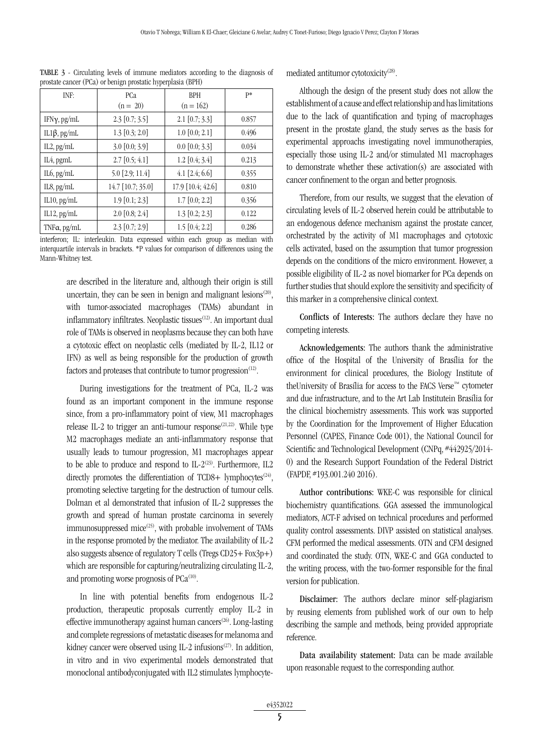| INF:                   | PCa<br>$(n = 20)$ | <b>BPH</b><br>$(n = 162)$ | p*    |
|------------------------|-------------------|---------------------------|-------|
| IFN $\gamma$ , pg/mL   | $2.3$ [0.7; 3.5]  | $2.1$ [0.7; 3.3]          | 0.857 |
| IL1 $\beta$ , pg/mL    | $1.3$ [0.3; 2.0]  | 1.0 [0.0; 2.1]            | 0.496 |
| $IL2$ , pg/mL          | 3.0 [0.0; 3.9]    | $0.0$ [0.0; 3.3]          | 0.034 |
| IL <sub>4</sub> , pgmL | $2.7$ [0.5; 4.1]  | $1.2$ [0.4; 3.4]          | 0.213 |
| $IL6$ , pg/mL          | 5.0 [2.9; 11.4]   | $4.1$ [2.4; 6.6]          | 0.355 |
| $IL8$ , pg/mL          | 14.7 [10.7; 35.0] | 17.9 [10.4; 42.6]         | 0.810 |
| IL10, pg/mL            | $1.9$ [0.1; 2.3]  | $1.7$ [0.0; 2.2]          | 0.356 |
| IL12, $pg/mL$          | $2.0$ [0.8; 2.4]  | $1.3$ [0.2; 2.3]          | 0.122 |
| TNF $\alpha$ , pg/mL   | $2.3$ [0.7; 2.9]  | 1.5 [0.4; 2.2]            | 0.286 |

TABLE 3 - Circulating levels of immune mediators according to the diagnosis of prostate cancer (PCa) or benign prostatic hyperplasia (BPH)

interferon; IL: interleukin. Data expressed within each group as median with interquartile intervals in brackets. \*P values for comparison of differences using the Mann-Whitney test.

are described in the literature and, although their origin is still uncertain, they can be seen in benign and malignant lesions $(20)$ , with tumor-associated macrophages (TAMs) abundant in inflammatory infiltrates. Neoplastic tissues<sup>(12)</sup>. An important dual role of TAMs is observed in neoplasms because they can both have a cytotoxic effect on neoplastic cells (mediated by IL-2, IL12 or IFN) as well as being responsible for the production of growth factors and proteases that contribute to tumor progression $(12)$ .

During investigations for the treatment of PCa, IL-2 was found as an important component in the immune response since, from a pro-inflammatory point of view, M1 macrophages release IL-2 to trigger an anti-tumour response  $(21,22)$ . While type M2 macrophages mediate an anti-inflammatory response that usually leads to tumour progression, M1 macrophages appear to be able to produce and respond to IL- $2^{(23)}$ . Furthermore, IL2 directly promotes the differentiation of TCD8+ lymphocytes<sup>(24)</sup>, promoting selective targeting for the destruction of tumour cells. Dolman et al demonstrated that infusion of IL-2 suppresses the growth and spread of human prostate carcinoma in severely immunosuppressed mice<sup>(25)</sup>, with probable involvement of TAMs in the response promoted by the mediator. The availability of IL-2 also suggests absence of regulatory T cells (Tregs CD25+ Fox3p+) which are responsible for capturing/neutralizing circulating IL-2, and promoting worse prognosis of  $PCa^{(10)}$ .

In line with potential benefits from endogenous IL-2 production, therapeutic proposals currently employ IL-2 in effective immunotherapy against human cancers<sup>(26)</sup>. Long-lasting and complete regressions of metastatic diseases for melanoma and kidney cancer were observed using IL-2 infusions<sup> $(27)$ </sup>. In addition, in vitro and in vivo experimental models demonstrated that monoclonal antibodyconjugated with IL2 stimulates lymphocytemediated antitumor cytotoxicity(28).

Although the design of the present study does not allow the establishment of a cause and effect relationship and has limitations due to the lack of quantification and typing of macrophages present in the prostate gland, the study serves as the basis for experimental approachs investigating novel immunotherapies, especially those using IL-2 and/or stimulated M1 macrophages to demonstrate whether these activation(s) are associated with cancer confinement to the organ and better prognosis.

Therefore, from our results, we suggest that the elevation of circulating levels of IL-2 observed herein could be attributable to an endogenous defence mechanism against the prostate cancer, orchestrated by the activity of M1 macrophages and cytotoxic cells activated, based on the assumption that tumor progression depends on the conditions of the micro environment. However, a possible eligibility of IL-2 as novel biomarker for PCa depends on further studies that should explore the sensitivity and specificity of this marker in a comprehensive clinical context.

Conflicts of Interests: The authors declare they have no competing interests.

Acknowledgements: The authors thank the administrative office of the Hospital of the University of Brasília for the environment for clinical procedures, the Biology Institute of theUniversity of Brasília for access to the FACS Verse™ cytometer and due infrastructure, and to the Art Lab Institutein Brasília for the clinical biochemistry assessments. This work was supported by the Coordination for the Improvement of Higher Education Personnel (CAPES, Finance Code 001), the National Council for Scientific and Technological Development (CNPq, #442925/2014- 0) and the Research Support Foundation of the Federal District (FAPDF, #193.001.240 2016).

Author contributions: WKE-C was responsible for clinical biochemistry quantifications. GGA assessed the immunological mediators, ACT-F advised on technical procedures and performed quality control assessments. DIVP assisted on statistical analyses. CFM performed the medical assessments. OTN and CFM designed and coordinated the study. OTN, WKE-C and GGA conducted to the writing process, with the two-former responsible for the final version for publication.

Disclaimer: The authors declare minor self-plagiarism by reusing elements from published work of our own to help describing the sample and methods, being provided appropriate reference.

Data availability statement: Data can be made available upon reasonable request to the corresponding author.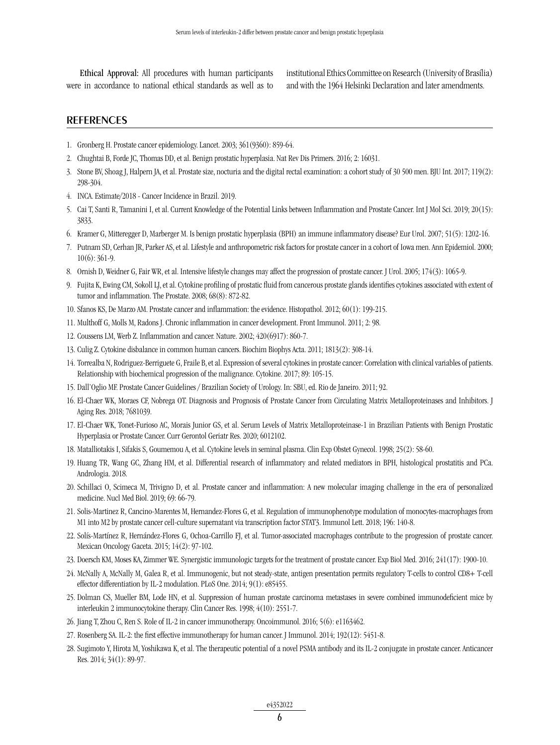Ethical Approval: All procedures with human participants were in accordance to national ethical standards as well as to institutional Ethics Committee on Research (University of Brasília) and with the 1964 Helsinki Declaration and later amendments.

### **REFERENCES**

- 1. Gronberg H. Prostate cancer epidemiology. Lancet. 2003; 361(9360): 859-64.
- 2. Chughtai B, Forde JC, Thomas DD, et al. Benign prostatic hyperplasia. Nat Rev Dis Primers. 2016; 2: 16031.
- 3. Stone BV, Shoag J, Halpern JA, et al. Prostate size, nocturia and the digital rectal examination: a cohort study of 30 500 men. BJU Int. 2017; 119(2): 298-304.
- 4. INCA. Estimate/2018 Cancer Incidence in Brazil. 2019.
- 5. Cai T, Santi R, Tamanini I, et al. Current Knowledge of the Potential Links between Inflammation and Prostate Cancer. Int J Mol Sci. 2019; 20(15): 3833.
- 6. Kramer G, Mitteregger D, Marberger M. Is benign prostatic hyperplasia (BPH) an immune inflammatory disease? Eur Urol. 2007; 51(5): 1202-16.
- 7. Putnam SD, Cerhan JR, Parker AS, et al. Lifestyle and anthropometric risk factors for prostate cancer in a cohort of Iowa men. Ann Epidemiol. 2000; 10(6): 361-9.
- 8. Ornish D, Weidner G, Fair WR, et al. Intensive lifestyle changes may affect the progression of prostate cancer. J Urol. 2005; 174(3): 1065-9.
- 9. Fujita K, Ewing CM, Sokoll LJ, et al. Cytokine profiling of prostatic fluid from cancerous prostate glands identifies cytokines associated with extent of tumor and inflammation. The Prostate. 2008; 68(8): 872-82.
- 10. Sfanos KS, De Marzo AM. Prostate cancer and inflammation: the evidence. Histopathol. 2012; 60(1): 199-215.
- 11. Multhoff G, Molls M, Radons J. Chronic inflammation in cancer development. Front Immunol. 2011; 2: 98.
- 12. Coussens LM, Werb Z. Inflammation and cancer. Nature. 2002; 420(6917): 860-7.
- 13. Culig Z. Cytokine disbalance in common human cancers. Biochim Biophys Acta. 2011; 1813(2): 308-14.
- 14. Torrealba N, Rodriguez-Berriguete G, Fraile B, et al. Expression of several cytokines in prostate cancer: Correlation with clinical variables of patients. Relationship with biochemical progression of the malignance. Cytokine. 2017; 89: 105-15.
- 15. Dall'Oglio MF. Prostate Cancer Guidelines / Brazilian Society of Urology. In: SBU, ed. Rio de Janeiro. 2011; 92.
- 16. El-Chaer WK, Moraes CF, Nobrega OT. Diagnosis and Prognosis of Prostate Cancer from Circulating Matrix Metalloproteinases and Inhibitors. J Aging Res. 2018; 7681039.
- 17. El-Chaer WK, Tonet-Furioso AC, Morais Junior GS, et al. Serum Levels of Matrix Metalloproteinase-1 in Brazilian Patients with Benign Prostatic Hyperplasia or Prostate Cancer. Curr Gerontol Geriatr Res. 2020; 6012102.
- 18. Matalliotakis I, Sifakis S, Goumemou A, et al. Cytokine levels in seminal plasma. Clin Exp Obstet Gynecol. 1998; 25(2): 58-60.
- 19. Huang TR, Wang GC, Zhang HM, et al. Differential research of inflammatory and related mediators in BPH, histological prostatitis and PCa. Andrologia. 2018.
- 20. Schillaci O, Scimeca M, Trivigno D, et al. Prostate cancer and inflammation: A new molecular imaging challenge in the era of personalized medicine. Nucl Med Biol. 2019; 69: 66-79.
- 21. Solis-Martinez R, Cancino-Marentes M, Hernandez-Flores G, et al. Regulation of immunophenotype modulation of monocytes-macrophages from M1 into M2 by prostate cancer cell-culture supernatant via transcription factor STAT3. Immunol Lett. 2018; 196: 140-8.
- 22. Solís-Martínez R, Hernández-Flores G, Ochoa-Carrillo FJ, et al. Tumor-associated macrophages contribute to the progression of prostate cancer. Mexican Oncology Gaceta. 2015; 14(2): 97-102.
- 23. Doersch KM, Moses KA, Zimmer WE. Synergistic immunologic targets for the treatment of prostate cancer. Exp Biol Med. 2016; 241(17): 1900-10.
- 24. McNally A, McNally M, Galea R, et al. Immunogenic, but not steady-state, antigen presentation permits regulatory T-cells to control CD8+ T-cell effector differentiation by IL-2 modulation. PLoS One. 2014; 9(1): e85455.
- 25. Dolman CS, Mueller BM, Lode HN, et al. Suppression of human prostate carcinoma metastases in severe combined immunodeficient mice by interleukin 2 immunocytokine therapy. Clin Cancer Res. 1998; 4(10): 2551-7.
- 26. Jiang T, Zhou C, Ren S. Role of IL-2 in cancer immunotherapy. Oncoimmunol. 2016; 5(6): e1163462.
- 27. Rosenberg SA. IL-2: the first effective immunotherapy for human cancer. J Immunol. 2014; 192(12): 5451-8.
- 28. Sugimoto Y, Hirota M, Yoshikawa K, et al. The therapeutic potential of a novel PSMA antibody and its IL-2 conjugate in prostate cancer. Anticancer Res. 2014; 34(1): 89-97.